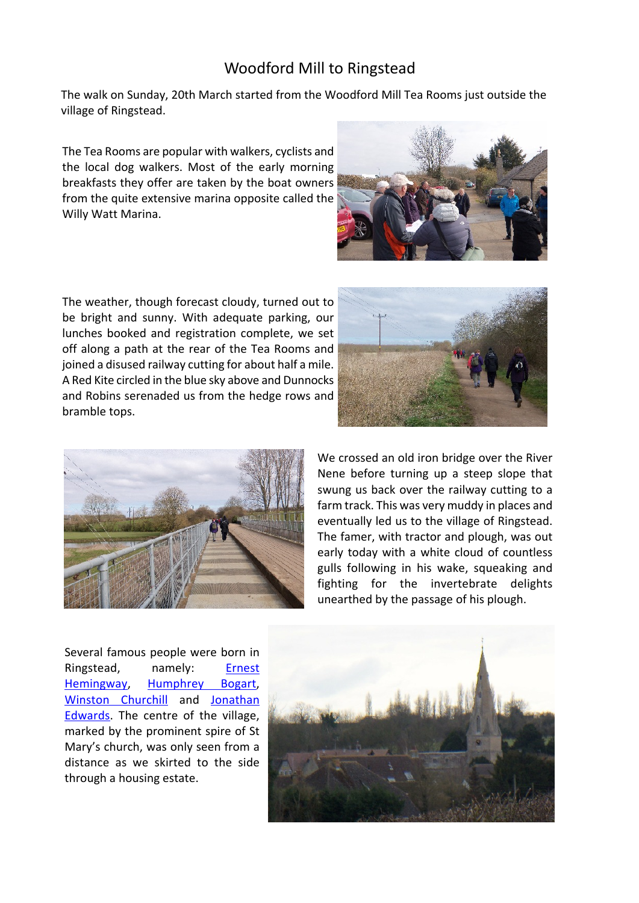## Woodford Mill to Ringstead

The walk on Sunday, 20th March started from the Woodford Mill Tea Rooms just outside the village of Ringstead.

The Tea Rooms are popular with walkers, cyclists and the local dog walkers. Most of the early morning breakfasts they offer are taken by the boat owners from the quite extensive marina opposite called the Willy Watt Marina.

The weather, though forecast cloudy, turned out to be bright and sunny. With adequate parking, our lunches booked and registration complete, we set off along a path at the rear of the Tea Rooms and joined a disused railway cutting for about half a mile. A Red Kite circled in the blue sky above and Dunnocks and Robins serenaded us from the hedge rows and bramble tops.



Several famous people were born in Ringstead, namely: Ernest Hemingway, Humphrey Bogart, Winston Churchill and Jonathan Edwards. The centre of the village, marked by the prominent spire of St Mary's church, was only seen from a distance as we skirted to the side through a housing estate.